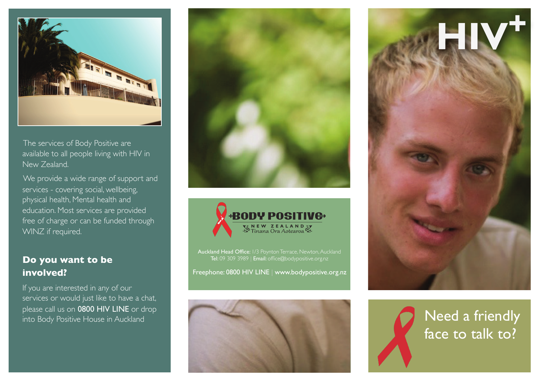

The services of Body Positive are available to all people living with HIV in New Zealand.

We provide a wide range of support and services - covering social, wellbeing, physical health, Mental health and education. Most services are provided free of charge or can be funded through WINZ if required.

#### **Do you want to be involved?**

If you are interested in any of our services or would just like to have a chat, please call us on 0800 HIV LINE or drop





Auckland Head Office: 1/3 Poynton Terrace, Newton, Auckland Tel: 09 309 3989 | Email: office@bodypositive.org.nz

Freephone: 0800 HIV LINE | www.bodypositive.org.nz



**HIV<sup>+</sup>**